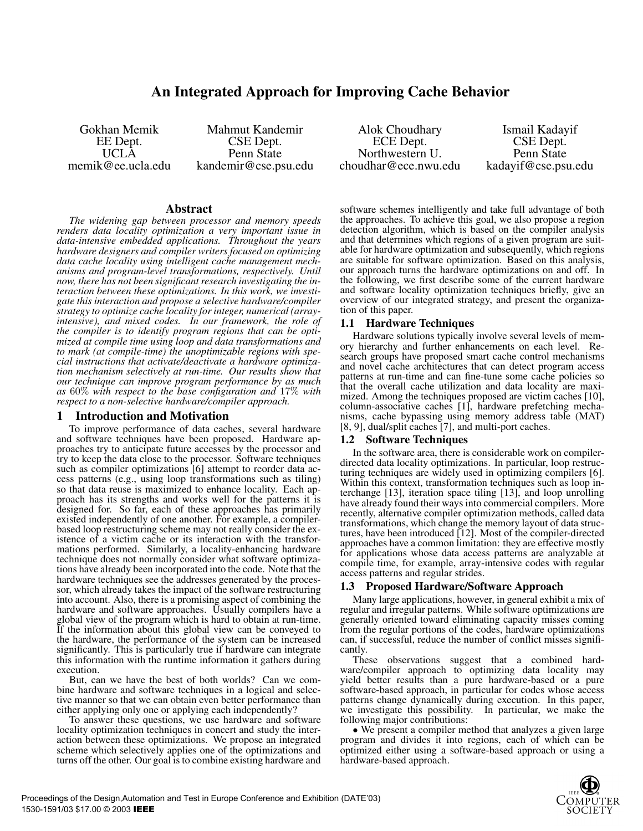# **An Integrated Approach for Improving Cache Behavior**

Gokhan Memik EE Dept. UCLA memik@ee.ucla.edu

Mahmut Kandemir CSE Dept. Penn State kandemir@cse.psu.edu

## **Abstract**

*The widening gap between processor and memory speeds renders data locality optimization a very important issue in data-intensive embedded applications. Throughout the years hardware designers and compiler writers focused on optimizing data cache locality using intelligent cache management mechanisms and program-level transformations, respectively. Until now, there has not been significant research investigating the interaction between these optimizations. In this work, we investigate this interaction and propose a selective hardware/compiler strategy to optimize cache locality for integer, numerical (arrayintensive), and mixed codes. In our framework, the role of the compiler is to identify program regions that can be optimized at compile time using loop and data transformations and to mark (at compile-time) the unoptimizable regions with special instructions that activate/deactivate a hardware optimization mechanism selectively at run-time. Our results show that our technique can improve program performance by as much as* 60% *with respect to the base configuration and* 17% *with respect to a non-selective hardware/compiler approach.*

## **1 Introduction and Motivation**

To improve performance of data caches, several hardware and software techniques have been proposed. Hardware approaches try to anticipate future accesses by the processor and try to keep the data close to the processor. Software techniques such as compiler optimizations [6] attempt to reorder data access patterns (e.g., using loop transformations such as tiling) so that data reuse is maximized to enhance locality. Each approach has its strengths and works well for the patterns it is designed for. So far, each of these approaches has primarily existed independently of one another. For example, a compilerbased loop restructuring scheme may not really consider the existence of a victim cache or its interaction with the transformations performed. Similarly, a locality-enhancing hardware technique does not normally consider what software optimizations have already been incorporated into the code. Note that the hardware techniques see the addresses generated by the processor, which already takes the impact of the software restructuring into account. Also, there is a promising aspect of combining the hardware and software approaches. Usually compilers have a global view of the program which is hard to obtain at run-time. If the information about this global view can be conveyed to the hardware, the performance of the system can be increased significantly. This is particularly true if hardware can integrate this information with the runtime information it gathers during execution.

But, can we have the best of both worlds? Can we combine hardware and software techniques in a logical and selective manner so that we can obtain even better performance than either applying only one or applying each independently?

To answer these questions, we use hardware and software locality optimization techniques in concert and study the interaction between these optimizations. We propose an integrated scheme which selectively applies one of the optimizations and turns off the other. Our goal is to combine existing hardware and

Alok Choudhary ECE Dept. Northwestern U. choudhar@ece.nwu.edu

Ismail Kadayif CSE Dept. Penn State kadayif@cse.psu.edu

software schemes intelligently and take full advantage of both the approaches. To achieve this goal, we also propose a region detection algorithm, which is based on the compiler analysis and that determines which regions of a given program are suitable for hardware optimization and subsequently, which regions are suitable for software optimization. Based on this analysis, our approach turns the hardware optimizations on and off. In the following, we first describe some of the current hardware and software locality optimization techniques briefly, give an overview of our integrated strategy, and present the organization of this paper.

## **1.1 Hardware Techniques**

Hardware solutions typically involve several levels of memory hierarchy and further enhancements on each level. Research groups have proposed smart cache control mechanisms and novel cache architectures that can detect program access patterns at run-time and can fine-tune some cache policies so that the overall cache utilization and data locality are maximized. Among the techniques proposed are victim caches [10], column-associative caches [1], hardware prefetching mechanisms, cache bypassing using memory address table (MAT) [8, 9], dual/split caches [7], and multi-port caches.

#### **1.2 Software Techniques**

In the software area, there is considerable work on compilerdirected data locality optimizations. In particular, loop restructuring techniques are widely used in optimizing compilers [6]. Within this context, transformation techniques such as loop interchange [13], iteration space tiling [13], and loop unrolling have already found their ways into commercial compilers. More recently, alternative compiler optimization methods, called data transformations, which change the memory layout of data structures, have been introduced [12]. Most of the compiler-directed approaches have a common limitation: they are effective mostly for applications whose data access patterns are analyzable at compile time, for example, array-intensive codes with regular access patterns and regular strides.

#### **1.3 Proposed Hardware/Software Approach**

Many large applications, however, in general exhibit a mix of regular and irregular patterns. While software optimizations are generally oriented toward eliminating capacity misses coming from the regular portions of the codes, hardware optimizations can, if successful, reduce the number of conflict misses significantly.

These observations suggest that a combined hardware/compiler approach to optimizing data locality may yield better results than a pure hardware-based or a pure software-based approach, in particular for codes whose access patterns change dynamically during execution. In this paper, we investigate this possibility. In particular, we make the following major contributions:

• We present a compiler method that analyzes a given large program and divides it into regions, each of which can be optimized either using a software-based approach or using a hardware-based approach.

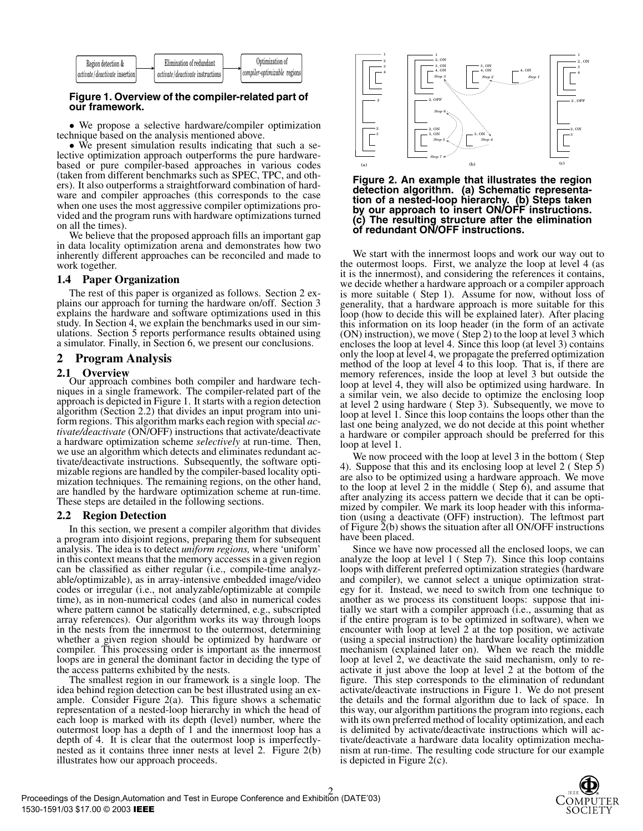

#### **Figure 1. Overview of the compiler-related part of our framework.**

• We propose a selective hardware/compiler optimization technique based on the analysis mentioned above.

• We present simulation results indicating that such a selective optimization approach outperforms the pure hardwarebased or pure compiler-based approaches in various codes (taken from different benchmarks such as SPEC, TPC, and others). It also outperforms a straightforward combination of hardware and compiler approaches (this corresponds to the case when one uses the most aggressive compiler optimizations provided and the program runs with hardware optimizations turned on all the times).

We believe that the proposed approach fills an important gap in data locality optimization arena and demonstrates how two inherently different approaches can be reconciled and made to work together.

## **1.4 Paper Organization**

The rest of this paper is organized as follows. Section 2 explains our approach for turning the hardware on/off. Section 3 explains the hardware and software optimizations used in this study. In Section 4, we explain the benchmarks used in our simulations. Section 5 reports performance results obtained using a simulator. Finally, in Section 6, we present our conclusions.

## **2 Program Analysis**

## **2.1 Overview**

Our approach combines both compiler and hardware techniques in a single framework. The compiler-related part of the approach is depicted in Figure 1. It starts with a region detection algorithm (Section 2.2) that divides an input program into uniform regions. This algorithm marks each region with special *ac- tivate/deactivate* (ON/OFF) instructions that activate/deactivate a hardware optimization scheme *selectively* at run-time. Then, we use an algorithm which detects and eliminates redundant activate/deactivate instructions. Subsequently, the software optimizable regions are handled by the compiler-based locality optimization techniques. The remaining regions, on the other hand, are handled by the hardware optimization scheme at run-time. These steps are detailed in the following sections.

#### **2.2 Region Detection**

In this section, we present a compiler algorithm that divides a program into disjoint regions, preparing them for subsequent analysis. The idea is to detect *uniform regions,* where 'uniform' in this context means that the memory accesses in a given region can be classified as either regular (i.e., compile-time analyzable/optimizable), as in array-intensive embedded image/video codes or irregular (i.e., not analyzable/optimizable at compile time), as in non-numerical codes (and also in numerical codes where pattern cannot be statically determined, e.g., subscripted array references). Our algorithm works its way through loops in the nests from the innermost to the outermost, determining whether a given region should be optimized by hardware or compiler. This processing order is important as the innermost loops are in general the dominant factor in deciding the type of the access patterns exhibited by the nests.

The smallest region in our framework is a single loop. The idea behind region detection can be best illustrated using an example. Consider Figure 2(a). This figure shows a schematic representation of a nested-loop hierarchy in which the head of each loop is marked with its depth (level) number, where the outermost loop has a depth of 1 and the innermost loop has a depth of 4. It is clear that the outermost loop is imperfectlynested as it contains three inner nests at level 2. Figure 2(b) illustrates how our approach proceeds.



**Figure 2. An example that illustrates the region detection algorithm. (a) Schematic representation of a nested-loop hierarchy. (b) Steps taken by our approach to insert ON/OFF instructions. (c) The resulting structure after the elimination of redundant ON/OFF instructions.**

We start with the innermost loops and work our way out to the outermost loops. First, we analyze the loop at level 4 (as it is the innermost), and considering the references it contains, we decide whether a hardware approach or a compiler approach is more suitable ( Step 1). Assume for now, without loss of generality, that a hardware approach is more suitable for this loop (how to decide this will be explained later). After placing this information on its loop header (in the form of an activate (ON) instruction), we move ( Step 2) to the loop at level 3 which encloses the loop at level 4. Since this loop (at level 3) contains only the loop at level 4, we propagate the preferred optimization method of the loop at level 4 to this loop. That is, if there are memory references, inside the loop at level 3 but outside the loop at level 4, they will also be optimized using hardware. In a similar vein, we also decide to optimize the enclosing loop at level 2 using hardware ( Step 3). Subsequently, we move to loop at level 1. Since this loop contains the loops other than the last one being analyzed, we do not decide at this point whether a hardware or compiler approach should be preferred for this loop at level 1.

We now proceed with the loop at level 3 in the bottom ( Step 4). Suppose that this and its enclosing loop at level 2 ( Step 5) are also to be optimized using a hardware approach. We move to the loop at level 2 in the middle  $($  Step  $\overline{6}$ ), and assume that after analyzing its access pattern we decide that it can be optimized by compiler. We mark its loop header with this information (using a deactivate (OFF) instruction). The leftmost part of Figure  $\tilde{2}$ (b) shows the situation after all ON/OFF instructions have been placed.

Since we have now processed all the enclosed loops, we can analyze the loop at level 1 ( Step 7). Since this loop contains loops with different preferred optimization strategies (hardware and compiler), we cannot select a unique optimization strategy for it. Instead, we need to switch from one technique to another as we process its constituent loops: suppose that initially we start with a compiler approach (i.e., assuming that as if the entire program is to be optimized in software), when we encounter with loop at level  $2^{\text{t}}$  at the top position, we activate (using a special instruction) the hardware locality optimization mechanism (explained later on). When we reach the middle loop at level 2, we deactivate the said mechanism, only to reactivate it just above the loop at level 2 at the bottom of the figure. This step corresponds to the elimination of redundant activate/deactivate instructions in Figure 1. We do not present the details and the formal algorithm due to lack of space. In this way, our algorithm partitions the program into regions, each with its own preferred method of locality optimization, and each is delimited by activate/deactivate instructions which will activate/deactivate a hardware data locality optimization mechanism at run-time. The resulting code structure for our example is depicted in Figure 2(c).

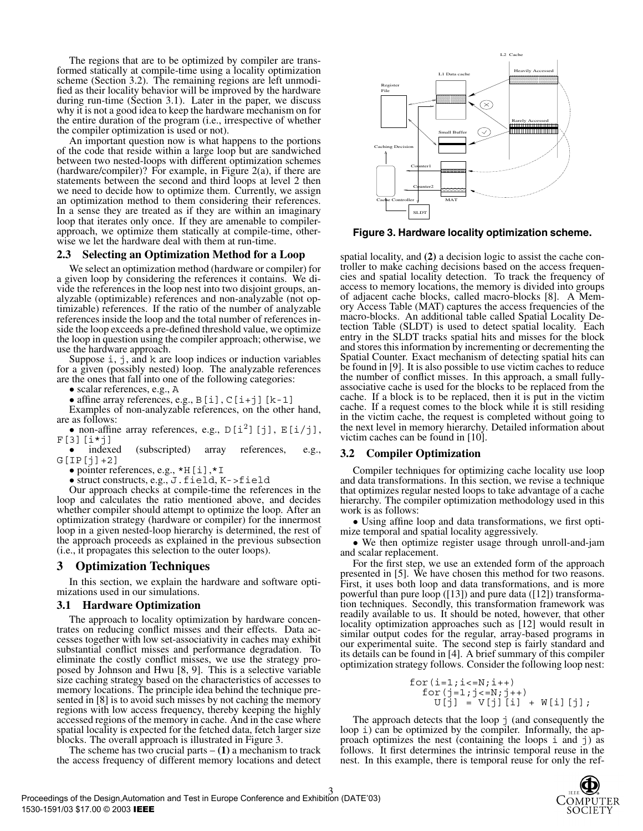The regions that are to be optimized by compiler are transformed statically at compile-time using a locality optimization scheme (Section 3.2). The remaining regions are left unmodified as their locality behavior will be improved by the hardware during run-time (Section 3.1). Later in the paper, we discuss why it is not a good idea to keep the hardware mechanism on for the entire duration of the program (i.e., irrespective of whether the compiler optimization is used or not).

An important question now is what happens to the portions of the code that reside within a large loop but are sandwiched between two nested-loops with different optimization schemes (hardware/compiler)? For example, in Figure 2(a), if there are statements between the second and third loops at level 2 then we need to decide how to optimize them. Currently, we assign an optimization method to them considering their references. In a sense they are treated as if they are within an imaginary loop that iterates only once. If they are amenable to compilerapproach, we optimize them statically at compile-time, otherwise we let the hardware deal with them at run-time.

#### **2.3 Selecting an Optimization Method for a Loop**

We select an optimization method (hardware or compiler) for a given loop by considering the references it contains. We divide the references in the loop nest into two disjoint groups, analyzable (optimizable) references and non-analyzable (not optimizable) references. If the ratio of the number of analyzable references inside the loop and the total number of references inside the loop exceeds a pre-defined threshold value, we optimize the loop in question using the compiler approach; otherwise, we use the hardware approach.

Suppose i, j, and k are loop indices or induction variables for a given (possibly nested) loop. The analyzable references are the ones that fall into one of the following categories:

• scalar references, e.g., A<br>• affine array references, e.g., B[i], C[i+j][k-1]

Examples of non-analyzable references, on the other hand, are as follows:

• non-affine array references, e.g.,  $D[i^2] [j]$ ,  $E[i/j]$ ,  $F[3] [i * j]$ 

• indexed (subscripted) array references, e.g., G[IP[j]+2]

• pointer references, e.g., \*H[i],\*I • struct constructs, e.g., J.field, K->field

Our approach checks at compile-time the references in the loop and calculates the ratio mentioned above, and decides whether compiler should attempt to optimize the loop. After an optimization strategy (hardware or compiler) for the innermost loop in a given nested-loop hierarchy is determined, the rest of the approach proceeds as explained in the previous subsection (i.e., it propagates this selection to the outer loops).

## **3 Optimization Techniques**

In this section, we explain the hardware and software optimizations used in our simulations.

#### **3.1 Hardware Optimization**

The approach to locality optimization by hardware concentrates on reducing conflict misses and their effects. Data accesses together with low set-associativity in caches may exhibit substantial conflict misses and performance degradation. To eliminate the costly conflict misses, we use the strategy proposed by Johnson and Hwu [8, 9]. This is a selective variable size caching strategy based on the characteristics of accesses to memory locations. The principle idea behind the technique presented in [8] is to avoid such misses by not caching the memory regions with low access frequency, thereby keeping the highly accessed regions of the memory in cache. And in the case where spatial locality is expected for the fetched data, fetch larger size blocks. The overall approach is illustrated in Figure 3.

The scheme has two crucial parts  $- (1)$  a mechanism to track the access frequency of different memory locations and detect



**Figure 3. Hardware locality optimization scheme.**

spatial locality, and **(2)** a decision logic to assist the cache controller to make caching decisions based on the access frequencies and spatial locality detection. To track the frequency of access to memory locations, the memory is divided into groups of adjacent cache blocks, called macro-blocks [8]. A Memory Access Table (MAT) captures the access frequencies of the macro-blocks. An additional table called Spatial Locality Detection Table (SLDT) is used to detect spatial locality. Each entry in the SLDT tracks spatial hits and misses for the block and stores this information by incrementing or decrementing the Spatial Counter. Exact mechanism of detecting spatial hits can be found in [9]. It is also possible to use victim caches to reduce the number of conflict misses. In this approach, a small fullyassociative cache is used for the blocks to be replaced from the cache. If a block is to be replaced, then it is put in the victim cache. If a request comes to the block while it is still residing in the victim cache, the request is completed without going to the next level in memory hierarchy. Detailed information about victim caches can be found in [10].

#### **3.2 Compiler Optimization**

Compiler techniques for optimizing cache locality use loop and data transformations. In this section, we revise a technique that optimizes regular nested loops to take advantage of a cache hierarchy. The compiler optimization methodology used in this work is as follows:

• Using affine loop and data transformations, we first optimize temporal and spatial locality aggressively.

• We then optimize register usage through unroll-and-jam and scalar replacement.

For the first step, we use an extended form of the approach presented in [5]. We have chosen this method for two reasons. First, it uses both loop and data transformations, and is more powerful than pure loop ([13]) and pure data ([12]) transformation techniques. Secondly, this transformation framework was readily available to us. It should be noted, however, that other locality optimization approaches such as [12] would result in similar output codes for the regular, array-based programs in our experimental suite. The second step is fairly standard and its details can be found in [4]. A brief summary of this compiler optimization strategy follows. Consider the following loop nest:

$$
for (i=1; i<=N; i++)for (j=1; j<=N; j++)U[j] = V[j][i] + W[i][j];
$$

The approach detects that the loop j (and consequently the loop i) can be optimized by the compiler. Informally, the approach optimizes the nest (containing the loops i and j) as follows. It first determines the intrinsic temporal reuse in the nest. In this example, there is temporal reuse for only the ref-

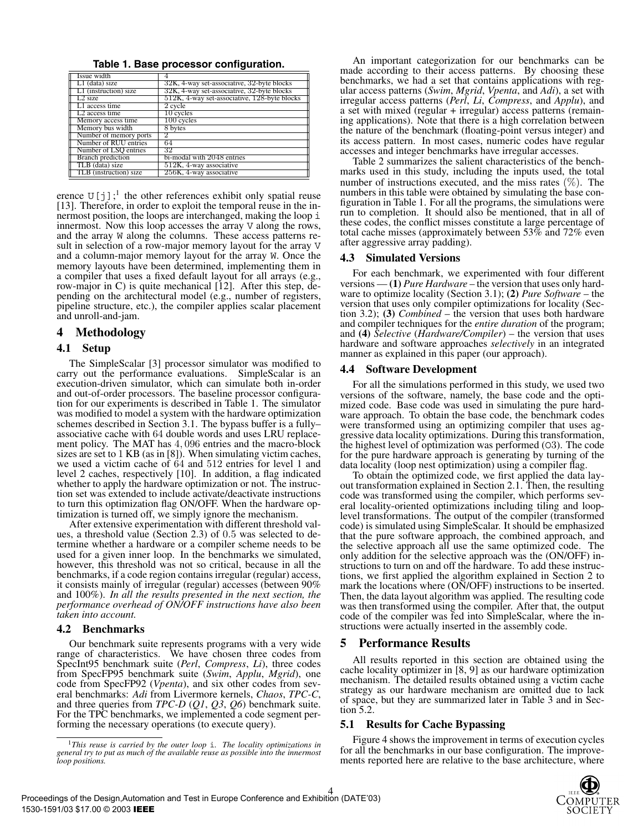**Table 1. Base processor configuration.**

| Issue width                |                                              |
|----------------------------|----------------------------------------------|
| L1 (data) size             | 32K, 4-way set-associative, 32-byte blocks   |
| L1 (instruction) size      | 32K, 4-way set-associative, 32-byte blocks   |
| $L2$ size                  | 512K, 4-way set-associative, 128-byte blocks |
| L1 access time             | 2 cycle                                      |
| L <sub>2</sub> access time | 10 cycles                                    |
| Memory access time         | 100 cycles                                   |
| Memory bus width           | 8 bytes                                      |
| Number of memory ports     | 2                                            |
| Number of RUU entries      | 64                                           |
| Number of LSO entries      | 32                                           |
| <b>Branch</b> prediction   | bi-modal with 2048 entries                   |
| TLB (data) size            | 512K, 4-way associative                      |
| TLB (instruction) size     | 256K, 4-way associative                      |

erence  $U[j]$ ;<sup>1</sup> the other references exhibit only spatial reuse [13]. Therefore, in order to exploit the temporal reuse in the innermost position, the loops are interchanged, making the loop i innermost. Now this loop accesses the array V along the rows, and the array W along the columns. These access patterns result in selection of a row-major memory layout for the array V and a column-major memory layout for the array W. Once the memory layouts have been determined, implementing them in a compiler that uses a fixed default layout for all arrays (e.g., row-major in C) is quite mechanical [12]. After this step, depending on the architectural model (e.g., number of registers, pipeline structure, etc.), the compiler applies scalar placement and unroll-and-jam.

# **4 Methodology**

## **4.1 Setup**

The SimpleScalar [3] processor simulator was modified to carry out the performance evaluations. SimpleScalar is an execution-driven simulator, which can simulate both in-order and out-of-order processors. The baseline processor configuration for our experiments is described in Table 1. The simulator was modified to model a system with the hardware optimization schemes described in Section 3.1. The bypass buffer is a fully– associative cache with 64 double words and uses LRU replacement policy. The MAT has 4, 096 entries and the macro-block sizes are set to 1 KB (as in [8]). When simulating victim caches, we used a victim cache of 64 and 512 entries for level 1 and level 2 caches, respectively [10]. In addition, a flag indicated whether to apply the hardware optimization or not. The instruction set was extended to include activate/deactivate instructions to turn this optimization flag ON/OFF. When the hardware optimization is turned off, we simply ignore the mechanism.

After extensive experimentation with different threshold values, a threshold value (Section 2.3) of 0.5 was selected to determine whether a hardware or a compiler scheme needs to be used for a given inner loop. In the benchmarks we simulated, however, this threshold was not so critical, because in all the benchmarks, if a code region contains irregular (regular) access, it consists mainly of irregular (regular) accesses (between 90% and 100%). *In all the results presented in the next section, the performance overhead of ON/OFF instructions have also been taken into account.*

#### **4.2 Benchmarks**

Our benchmark suite represents programs with a very wide range of characteristics. We have chosen three codes from SpecInt95 benchmark suite (*Perl*, *Compress*, *Li*), three codes from SpecFP95 benchmark suite (*Swim*, *Applu*, *Mgrid*), one code from SpecFP92 (*Vpenta*), and six other codes from several benchmarks: *Adi* from Livermore kernels, *Chaos*, *TPC-C*, and three queries from *TPC-D* (*Q1*, *Q3*, *Q6*) benchmark suite. For the TPC benchmarks, we implemented a code segment performing the necessary operations (to execute query).

An important categorization for our benchmarks can be made according to their access patterns. By choosing these benchmarks, we had a set that contains applications with regular access patterns (*Swim*, *Mgrid*, *Vpenta*, and *Adi*), a set with irregular access patterns (*Perl*, *Li*, *Compress*, and *Applu*), and a set with mixed (regular + irregular) access patterns (remaining applications). Note that there is a high correlation between the nature of the benchmark (floating-point versus integer) and its access pattern. In most cases, numeric codes have regular accesses and integer benchmarks have irregular accesses.

Table 2 summarizes the salient characteristics of the benchmarks used in this study, including the inputs used, the total number of instructions executed, and the miss rates  $(\%)$ . The numbers in this table were obtained by simulating the base configuration in Table 1. For all the programs, the simulations were run to completion. It should also be mentioned, that in all of these codes, the conflict misses constitute a large percentage of total cache misses (approximately between 53% and 72% even after aggressive array padding).

#### **4.3 Simulated Versions**

For each benchmark, we experimented with four different versions — **(1)** *Pure Hardware* – the version that uses only hardware to optimize locality (Section 3.1); **(2)** *Pure Software* – the version that uses only compiler optimizations for locality (Section 3.2); **(3)** *Combined* – the version that uses both hardware and compiler techniques for the *entire duration* of the program; and **(4)** *Selective* (*Hardware/Compiler*) – the version that uses hardware and software approaches *selectively* in an integrated manner as explained in this paper (our approach).

## **4.4 Software Development**

For all the simulations performed in this study, we used two versions of the software, namely, the base code and the optimized code. Base code was used in simulating the pure hardware approach. To obtain the base code, the benchmark codes were transformed using an optimizing compiler that uses aggressive data locality optimizations. During this transformation, the highest level of optimization was performed (O3). The code for the pure hardware approach is generating by turning of the data locality (loop nest optimization) using a compiler flag.

To obtain the optimized code, we first applied the data layout transformation explained in Section 2.1. Then, the resulting code was transformed using the compiler, which performs several locality-oriented optimizations including tiling and looplevel transformations. The output of the compiler (transformed code) is simulated using SimpleScalar. It should be emphasized that the pure software approach, the combined approach, and the selective approach all use the same optimized code. The only addition for the selective approach was the (ON/OFF) instructions to turn on and off the hardware. To add these instructions, we first applied the algorithm explained in Section 2 to mark the locations where (ON/OFF) instructions to be inserted. Then, the data layout algorithm was applied. The resulting code was then transformed using the compiler. After that, the output code of the compiler was fed into SimpleScalar, where the instructions were actually inserted in the assembly code.

# **5 Performance Results**

All results reported in this section are obtained using the cache locality optimizer in [8, 9] as our hardware optimization mechanism. The detailed results obtained using a victim cache strategy as our hardware mechanism are omitted due to lack of space, but they are summarized later in Table 3 and in Section 5.2.

#### **5.1 Results for Cache Bypassing**

Figure 4 shows the improvement in terms of execution cycles for all the benchmarks in our base configuration. The improvements reported here are relative to the base architecture, where



<sup>1</sup>*This reuse is carried by the outer loop* i*. The locality optimizations in general try to put as much of the available reuse as possible into the innermost loop positions.*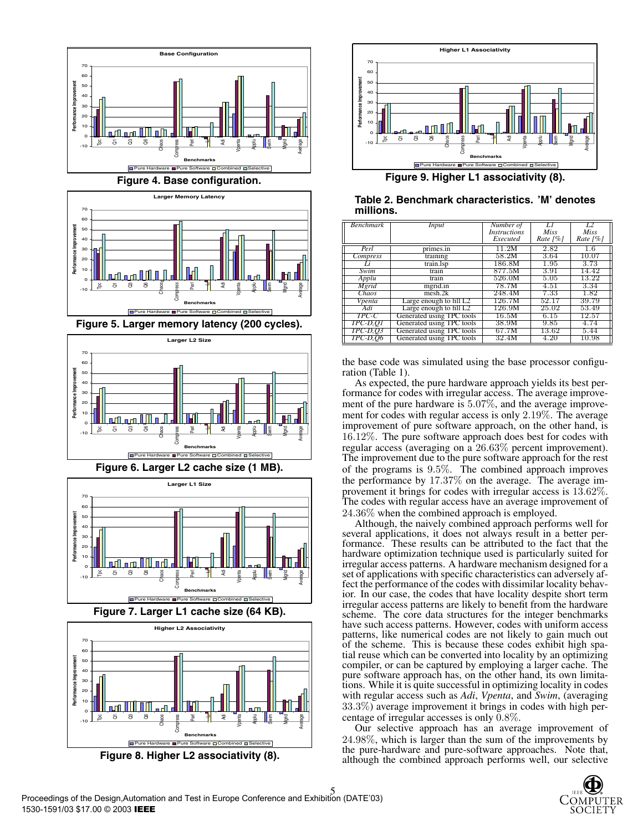











**Figure 8. Higher L2 associativity (8).**



| Table 2. Benchmark characteristics. 'M' denotes |  |
|-------------------------------------------------|--|
| millions.                                       |  |

| Benchmark       | Input                     | Number of           |             |            |
|-----------------|---------------------------|---------------------|-------------|------------|
|                 |                           | <i>Instructions</i> | <b>Miss</b> | Miss       |
|                 |                           | Executed            | Rate $[%]$  | Rate $[%]$ |
| Perl            | primes.in                 | 11.2M               | 2.82        | 1.6        |
| <b>Compress</b> | training                  | 58.2M               | 3.64        | 10.07      |
| Li              | train.lsp                 | 186.8M              | 1.95        | 3.73       |
| Swim            | train                     | 877.5M              | 3.91        | 14.42      |
| Applu           | train                     | 526.0M              | 5.05        | 13.22      |
| Mgrid           | mgrid.in                  | 78.7M               | 4.51        | 3.34       |
| Chaos           | mesh.2k                   | 248.4M              | 7.33        | 1.82       |
| Vpenta          | Large enough to fill L2   | 126.7M              | 52.17       | 39.79      |
| Adi             | Large enough to fill L2   | 126.9M              | 25.02       | 53.49      |
| TPC-C           | Generated using TPC tools | 16.5M               | 6.15        | 12.57      |
| TPC-D,01        | Generated using TPC tools | 38.9M               | 9.85        | 4.74       |
| TPC-D.03        | Generated using TPC tools | 67.7M               | 13.62       | 5.44       |
| $TPC-D, O6$     | Generated using TPC tools | 32.4M               | 4.20        | 10.98      |

the base code was simulated using the base processor configuration (Table 1).

As expected, the pure hardware approach yields its best performance for codes with irregular access. The average improvement of the pure hardware is 5.07%, and the average improvement for codes with regular access is only 2.19%. The average improvement of pure software approach, on the other hand, is 16.12%. The pure software approach does best for codes with regular access (averaging on a 26.63% percent improvement). The improvement due to the pure software approach for the rest of the programs is 9.5%. The combined approach improves the performance by  $17.37\%$  on the average. The average im-<br>provement it brings for codes with irregular access is  $13.62\%$ . The codes with regular access have an average improvement of 24.36% when the combined approach is employed.

Although, the naively combined approach performs well for several applications, it does not always result in a better performance. These results can be attributed to the fact that the hardware optimization technique used is particularly suited for irregular access patterns. A hardware mechanism designed for a set of applications with specific characteristics can adversely affect the performance of the codes with dissimilar locality behavior. In our case, the codes that have locality despite short term irregular access patterns are likely to benefit from the hardware scheme. The core data structures for the integer benchmarks have such access patterns. However, codes with uniform access patterns, like numerical codes are not likely to gain much out of the scheme. This is because these codes exhibit high spatial reuse which can be converted into locality by an optimizing compiler, or can be captured by employing a larger cache. The pure software approach has, on the other hand, its own limitations. While it is quite successful in optimizing locality in codes with regular access such as *Adi*, *Vpenta*, and *Swim*, (averaging 33.3%) average improvement it brings in codes with high percentage of irregular accesses is only 0.8%.

Our selective approach has an average improvement of 24.98%, which is larger than the sum of the improvements by the pure-hardware and pure-software approaches. Note that, although the combined approach performs well, our selective